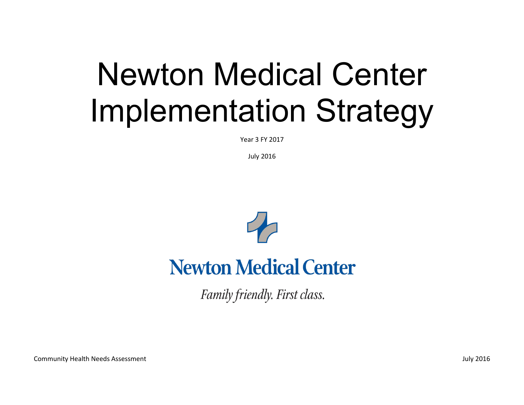## Newton Medical Center Implementation Strategy

Year 3 FY 2017

July 2016



## **Newton Medical Center**

Family friendly. First class.

Community Health Needs Assessment July 2016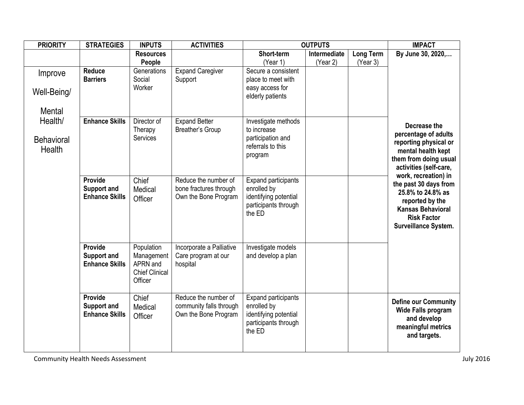| <b>PRIORITY</b>   | <b>STRATEGIES</b>                           | <b>INPUTS</b>            | <b>ACTIVITIES</b>                               | <b>OUTPUTS</b>                                |              |                  | <b>IMPACT</b>                                  |
|-------------------|---------------------------------------------|--------------------------|-------------------------------------------------|-----------------------------------------------|--------------|------------------|------------------------------------------------|
|                   |                                             | <b>Resources</b>         |                                                 | Short-term                                    | Intermediate | <b>Long Term</b> | By June 30, 2020,                              |
|                   |                                             | People                   |                                                 | (Year 1)                                      | (Year 2)     | (Year 3)         |                                                |
| Improve           | <b>Reduce</b>                               | Generations              | <b>Expand Caregiver</b>                         | Secure a consistent                           |              |                  |                                                |
|                   | <b>Barriers</b>                             | Social<br>Worker         | Support                                         | place to meet with                            |              |                  |                                                |
| Well-Being/       |                                             |                          |                                                 | easy access for<br>elderly patients           |              |                  |                                                |
|                   |                                             |                          |                                                 |                                               |              |                  |                                                |
| <b>Mental</b>     |                                             |                          |                                                 |                                               |              |                  |                                                |
| Health/           | <b>Enhance Skills</b>                       | Director of              | <b>Expand Better</b>                            | Investigate methods                           |              |                  | Decrease the                                   |
|                   |                                             | Therapy                  | Breather's Group                                | to increase                                   |              |                  | percentage of adults                           |
| <b>Behavioral</b> |                                             | <b>Services</b>          |                                                 | participation and<br>referrals to this        |              |                  | reporting physical or                          |
| Health            |                                             |                          |                                                 | program                                       |              |                  | mental health kept                             |
|                   |                                             |                          |                                                 |                                               |              |                  | them from doing usual                          |
|                   |                                             |                          |                                                 |                                               |              |                  | activities (self-care,<br>work, recreation) in |
|                   | Provide                                     | Chief                    | Reduce the number of                            | <b>Expand participants</b>                    |              |                  | the past 30 days from                          |
|                   | <b>Support and</b><br><b>Enhance Skills</b> | Medical                  | bone fractures through                          | enrolled by                                   |              |                  | 25.8% to 24.8% as                              |
|                   |                                             | Officer                  | Own the Bone Program                            | identifying potential<br>participants through |              |                  | reported by the                                |
|                   |                                             |                          |                                                 | the ED                                        |              |                  | <b>Kansas Behavioral</b>                       |
|                   |                                             |                          |                                                 |                                               |              |                  | <b>Risk Factor</b>                             |
|                   |                                             |                          |                                                 |                                               |              |                  | <b>Surveillance System.</b>                    |
|                   |                                             |                          |                                                 |                                               |              |                  |                                                |
|                   | Provide<br><b>Support and</b>               | Population<br>Management | Incorporate a Palliative<br>Care program at our | Investigate models<br>and develop a plan      |              |                  |                                                |
|                   | <b>Enhance Skills</b>                       | APRN and                 | hospital                                        |                                               |              |                  |                                                |
|                   |                                             | <b>Chief Clinical</b>    |                                                 |                                               |              |                  |                                                |
|                   |                                             | Officer                  |                                                 |                                               |              |                  |                                                |
|                   |                                             |                          |                                                 |                                               |              |                  |                                                |
|                   | Provide<br><b>Support and</b>               | Chief                    | Reduce the number of                            | <b>Expand participants</b><br>enrolled by     |              |                  | <b>Define our Community</b>                    |
|                   | <b>Enhance Skills</b>                       | Medical<br>Officer       | community falls through<br>Own the Bone Program | identifying potential                         |              |                  | <b>Wide Falls program</b>                      |
|                   |                                             |                          |                                                 | participants through                          |              |                  | and develop                                    |
|                   |                                             |                          |                                                 | the ED                                        |              |                  | meaningful metrics                             |
|                   |                                             |                          |                                                 |                                               |              |                  | and targets.                                   |
|                   |                                             |                          |                                                 |                                               |              |                  |                                                |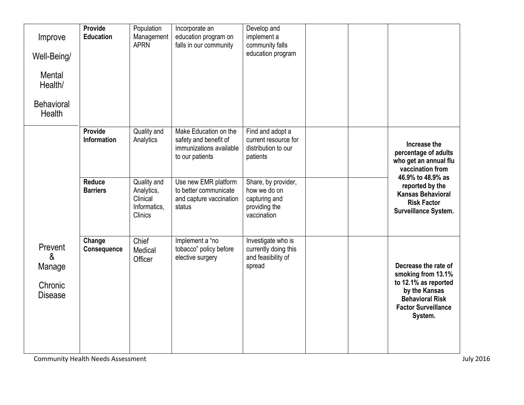| Improve<br>Well-Being/<br>Mental<br>Health/<br><b>Behavioral</b><br><b>Health</b> | Provide<br><b>Education</b>      | Population<br>Management<br><b>APRN</b>                          | Incorporate an<br>education program on<br>falls in our community                             | Develop and<br>implement a<br>community falls<br>education program                   |  |                                                                                                                                                        |
|-----------------------------------------------------------------------------------|----------------------------------|------------------------------------------------------------------|----------------------------------------------------------------------------------------------|--------------------------------------------------------------------------------------|--|--------------------------------------------------------------------------------------------------------------------------------------------------------|
|                                                                                   | Provide<br><b>Information</b>    | Quality and<br>Analytics                                         | Make Education on the<br>safety and benefit of<br>immunizations available<br>to our patients | Find and adopt a<br>current resource for<br>distribution to our<br>patients          |  | Increase the<br>percentage of adults<br>who get an annual flu<br>vaccination from                                                                      |
|                                                                                   | <b>Reduce</b><br><b>Barriers</b> | Quality and<br>Analytics,<br>Clinical<br>Informatics,<br>Clinics | Use new EMR platform<br>to better communicate<br>and capture vaccination<br>status           | Share, by provider,<br>how we do on<br>capturing and<br>providing the<br>vaccination |  | 46.9% to 48.9% as<br>reported by the<br><b>Kansas Behavioral</b><br><b>Risk Factor</b><br>Surveillance System.                                         |
| Prevent<br>&<br>Manage<br>Chronic<br><b>Disease</b>                               | Change<br><b>Consequence</b>     | Chief<br>Medical<br>Officer                                      | Implement a "no<br>tobacco" policy before<br>elective surgery                                | Investigate who is<br>currently doing this<br>and feasibility of<br>spread           |  | Decrease the rate of<br>smoking from 13.1%<br>to 12.1% as reported<br>by the Kansas<br><b>Behavioral Risk</b><br><b>Factor Surveillance</b><br>System. |

Community Health Needs Assessment July 2016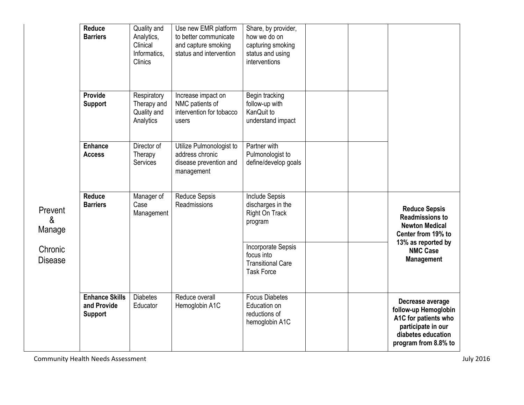|                                                     | <b>Reduce</b><br><b>Barriers</b>                       | Quality and<br>Analytics,<br>Clinical<br>Informatics.<br><b>Clinics</b> | Use new EMR platform<br>to better communicate<br>and capture smoking<br>status and intervention | Share, by provider,<br>how we do on<br>capturing smoking<br>status and using<br>interventions |  |                                                                                                                                      |
|-----------------------------------------------------|--------------------------------------------------------|-------------------------------------------------------------------------|-------------------------------------------------------------------------------------------------|-----------------------------------------------------------------------------------------------|--|--------------------------------------------------------------------------------------------------------------------------------------|
|                                                     | <b>Provide</b><br><b>Support</b>                       | Respiratory<br>Therapy and<br>Quality and<br>Analytics                  | Increase impact on<br>NMC patients of<br>intervention for tobacco<br>users                      | Begin tracking<br>follow-up with<br>KanQuit to<br>understand impact                           |  |                                                                                                                                      |
| Prevent<br>&<br>Manage<br>Chronic<br><b>Disease</b> | <b>Enhance</b><br><b>Access</b>                        | Director of<br>Therapy<br><b>Services</b>                               | Utilize Pulmonologist to<br>address chronic<br>disease prevention and<br>management             | Partner with<br>Pulmonologist to<br>define/develop goals                                      |  |                                                                                                                                      |
|                                                     | <b>Reduce</b><br><b>Barriers</b>                       | Manager of<br>Case<br>Management                                        | <b>Reduce Sepsis</b><br>Readmissions                                                            | <b>Include Sepsis</b><br>discharges in the<br>Right On Track<br>program                       |  | <b>Reduce Sepsis</b><br><b>Readmissions to</b><br><b>Newton Medical</b><br>Center from 19% to                                        |
|                                                     |                                                        |                                                                         |                                                                                                 | Incorporate Sepsis<br>focus into<br><b>Transitional Care</b><br><b>Task Force</b>             |  | 13% as reported by<br><b>NMC Case</b><br><b>Management</b>                                                                           |
|                                                     | <b>Enhance Skills</b><br>and Provide<br><b>Support</b> | <b>Diabetes</b><br>Educator                                             | Reduce overall<br>Hemoglobin A1C                                                                | <b>Focus Diabetes</b><br>Education on<br>reductions of<br>hemoglobin A1C                      |  | Decrease average<br>follow-up Hemoglobin<br>A1C for patients who<br>participate in our<br>diabetes education<br>program from 8.8% to |

Community Health Needs Assessment July 2016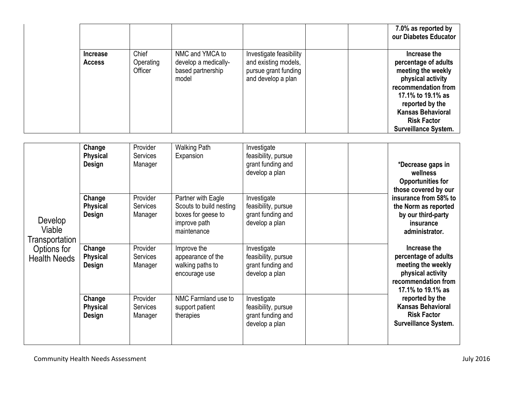|                                  |                               |                                                                       |                                                                                               |  | 7.0% as reported by<br>our Diabetes Educator                                                                                                                                                                                    |
|----------------------------------|-------------------------------|-----------------------------------------------------------------------|-----------------------------------------------------------------------------------------------|--|---------------------------------------------------------------------------------------------------------------------------------------------------------------------------------------------------------------------------------|
| <b>Increase</b><br><b>Access</b> | Chief<br>Operating<br>Officer | NMC and YMCA to<br>develop a medically-<br>based partnership<br>model | Investigate feasibility<br>and existing models,<br>pursue grant funding<br>and develop a plan |  | Increase the<br>percentage of adults<br>meeting the weekly<br>physical activity<br>recommendation from<br>17.1% to 19.1% as<br>reported by the<br><b>Kansas Behavioral</b><br><b>Risk Factor</b><br><b>Surveillance System.</b> |

| Develop<br>Viable<br>Transportation<br>Options for<br><b>Health Needs</b> | Change<br><b>Physical</b><br><b>Design</b> | Provider<br><b>Services</b><br>Manager | <b>Walking Path</b><br>Expansion                                                                   | Investigate<br>feasibility, pursue<br>grant funding and<br>develop a plan |  | *Decrease gaps in<br>wellness<br><b>Opportunities for</b><br>those covered by our<br>insurance from 58% to<br>the Norm as reported<br>by our third-party<br>insurance<br>administrator.<br>Increase the<br>percentage of adults<br>meeting the weekly<br>physical activity<br>recommendation from<br>17.1% to 19.1% as<br>reported by the<br><b>Kansas Behavioral</b><br><b>Risk Factor</b><br><b>Surveillance System.</b> |
|---------------------------------------------------------------------------|--------------------------------------------|----------------------------------------|----------------------------------------------------------------------------------------------------|---------------------------------------------------------------------------|--|----------------------------------------------------------------------------------------------------------------------------------------------------------------------------------------------------------------------------------------------------------------------------------------------------------------------------------------------------------------------------------------------------------------------------|
|                                                                           | Change<br><b>Physical</b><br><b>Design</b> | Provider<br><b>Services</b><br>Manager | Partner with Eagle<br>Scouts to build nesting<br>boxes for geese to<br>improve path<br>maintenance | Investigate<br>feasibility, pursue<br>grant funding and<br>develop a plan |  |                                                                                                                                                                                                                                                                                                                                                                                                                            |
|                                                                           | Change<br><b>Physical</b><br>Design        | Provider<br><b>Services</b><br>Manager | Improve the<br>appearance of the<br>walking paths to<br>encourage use                              | Investigate<br>feasibility, pursue<br>grant funding and<br>develop a plan |  |                                                                                                                                                                                                                                                                                                                                                                                                                            |
|                                                                           | Change<br><b>Physical</b><br><b>Design</b> | Provider<br><b>Services</b><br>Manager | NMC Farmland use to<br>support patient<br>therapies                                                | Investigate<br>feasibility, pursue<br>grant funding and<br>develop a plan |  |                                                                                                                                                                                                                                                                                                                                                                                                                            |